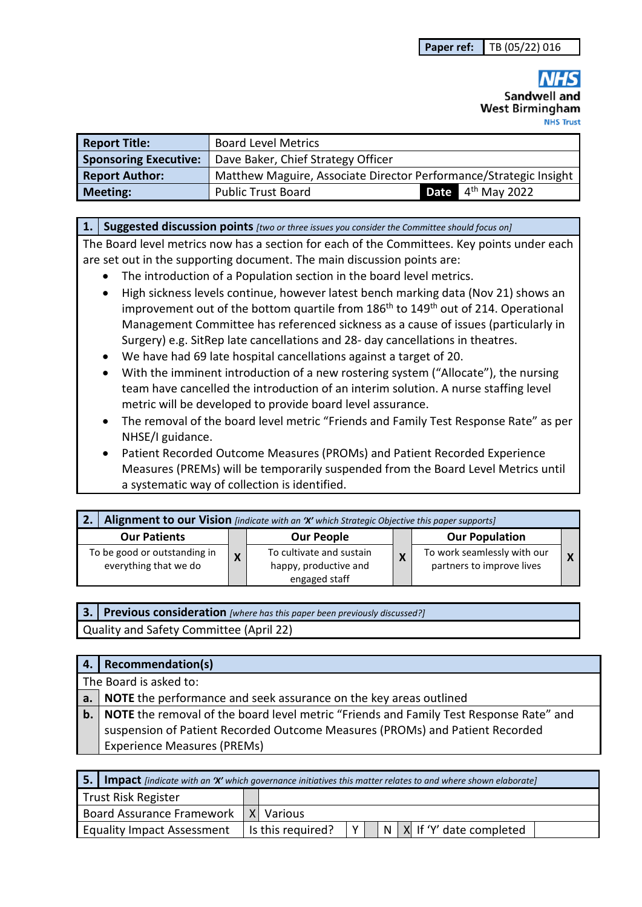Sandwell and **West Birmingham** 

| <b>Report Title:</b>         | <b>Board Level Metrics</b>                                        |  |                               |  |
|------------------------------|-------------------------------------------------------------------|--|-------------------------------|--|
| <b>Sponsoring Executive:</b> | Dave Baker, Chief Strategy Officer                                |  |                               |  |
| <b>Report Author:</b>        | Matthew Maguire, Associate Director Performance/Strategic Insight |  |                               |  |
| Meeting:                     | <b>Public Trust Board</b>                                         |  | <b>Date</b> $4^{th}$ May 2022 |  |

#### **1. Suggested discussion points** *[two or three issues you consider the Committee should focus on]*

The Board level metrics now has a section for each of the Committees. Key points under each are set out in the supporting document. The main discussion points are:

- The introduction of a Population section in the board level metrics.
- High sickness levels continue, however latest bench marking data (Nov 21) shows an improvement out of the bottom quartile from 186<sup>th</sup> to 149<sup>th</sup> out of 214. Operational Management Committee has referenced sickness as a cause of issues (particularly in Surgery) e.g. SitRep late cancellations and 28- day cancellations in theatres.
- We have had 69 late hospital cancellations against a target of 20.
- With the imminent introduction of a new rostering system ("Allocate"), the nursing team have cancelled the introduction of an interim solution. A nurse staffing level metric will be developed to provide board level assurance.
- The removal of the board level metric "Friends and Family Test Response Rate" as per NHSE/I guidance.
- Patient Recorded Outcome Measures (PROMs) and Patient Recorded Experience Measures (PREMs) will be temporarily suspended from the Board Level Metrics until a systematic way of collection is identified.

| Alignment to our Vision [indicate with an 'X' which Strategic Objective this paper supports]<br>2. |  |                                                                    |   |                                                          |  |
|----------------------------------------------------------------------------------------------------|--|--------------------------------------------------------------------|---|----------------------------------------------------------|--|
| <b>Our Patients</b>                                                                                |  | <b>Our People</b>                                                  |   | <b>Our Population</b>                                    |  |
| To be good or outstanding in<br>everything that we do                                              |  | To cultivate and sustain<br>happy, productive and<br>engaged staff | X | To work seamlessly with our<br>partners to improve lives |  |

**3. Previous consideration** *[where has this paper been previously discussed?]* Quality and Safety Committee (April 22)

| 4.   Recommendation(s)                                                                           |
|--------------------------------------------------------------------------------------------------|
| The Board is asked to:                                                                           |
| a. NOTE the performance and seek assurance on the key areas outlined                             |
| <b>b.</b> NOTE the removal of the board level metric "Friends and Family Test Response Rate" and |
| suspension of Patient Recorded Outcome Measures (PROMs) and Patient Recorded                     |
| <b>Experience Measures (PREMs)</b>                                                               |

| 5.1 | <b>Impact</b> [indicate with an 'X' which governance initiatives this matter relates to and where shown elaborate] |  |                   |  |  |                                 |
|-----|--------------------------------------------------------------------------------------------------------------------|--|-------------------|--|--|---------------------------------|
|     | Trust Risk Register                                                                                                |  |                   |  |  |                                 |
|     | <b>Board Assurance Framework</b>                                                                                   |  | X Various         |  |  |                                 |
|     | <b>Equality Impact Assessment</b>                                                                                  |  | Is this required? |  |  | $N$   X   If 'Y' date completed |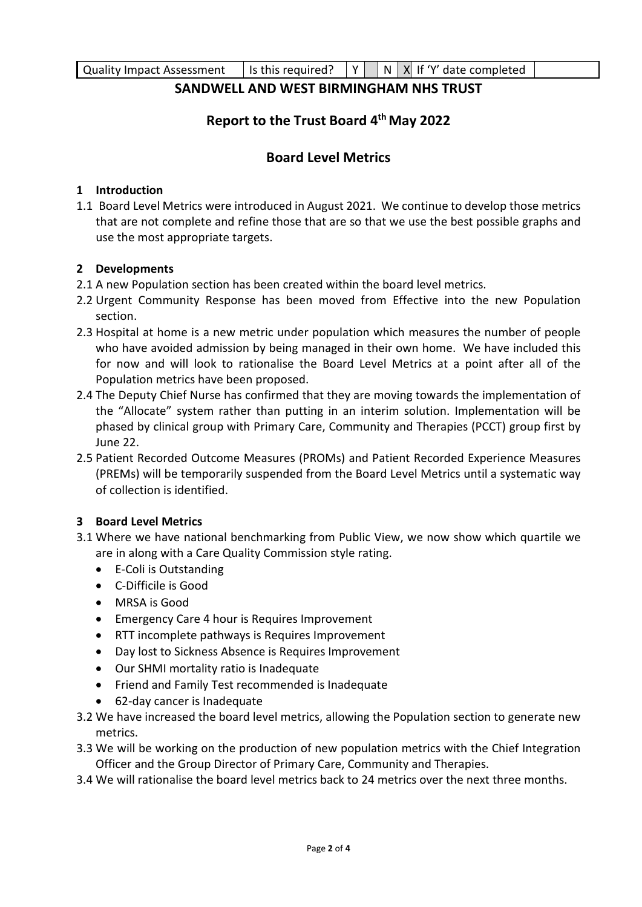### **SANDWELL AND WEST BIRMINGHAM NHS TRUST**

# **Report to the Trust Board 4th May 2022**

## **Board Level Metrics**

### **1 Introduction**

1.1 Board Level Metrics were introduced in August 2021. We continue to develop those metrics that are not complete and refine those that are so that we use the best possible graphs and use the most appropriate targets.

#### **2 Developments**

- 2.1 A new Population section has been created within the board level metrics.
- 2.2 Urgent Community Response has been moved from Effective into the new Population section.
- 2.3 Hospital at home is a new metric under population which measures the number of people who have avoided admission by being managed in their own home. We have included this for now and will look to rationalise the Board Level Metrics at a point after all of the Population metrics have been proposed.
- 2.4 The Deputy Chief Nurse has confirmed that they are moving towards the implementation of the "Allocate" system rather than putting in an interim solution. Implementation will be phased by clinical group with Primary Care, Community and Therapies (PCCT) group first by June 22.
- 2.5 Patient Recorded Outcome Measures (PROMs) and Patient Recorded Experience Measures (PREMs) will be temporarily suspended from the Board Level Metrics until a systematic way of collection is identified.

### **3 Board Level Metrics**

- 3.1 Where we have national benchmarking from Public View, we now show which quartile we are in along with a Care Quality Commission style rating.
	- E-Coli is Outstanding
	- C-Difficile is Good
	- MRSA is Good
	- Emergency Care 4 hour is Requires Improvement
	- RTT incomplete pathways is Requires Improvement
	- Day lost to Sickness Absence is Requires Improvement
	- Our SHMI mortality ratio is Inadequate
	- Friend and Family Test recommended is Inadequate
	- 62-day cancer is Inadequate
- 3.2 We have increased the board level metrics, allowing the Population section to generate new metrics.
- 3.3 We will be working on the production of new population metrics with the Chief Integration Officer and the Group Director of Primary Care, Community and Therapies.
- 3.4 We will rationalise the board level metrics back to 24 metrics over the next three months.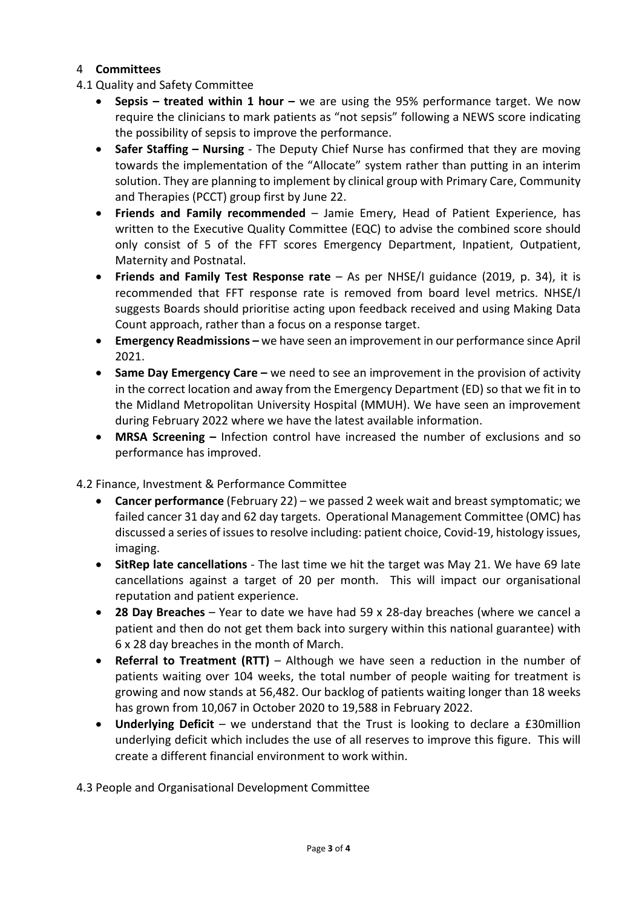### 4 **Committees**

- 4.1 Quality and Safety Committee
	- **Sepsis treated within 1 hour** we are using the 95% performance target. We now require the clinicians to mark patients as "not sepsis" following a NEWS score indicating the possibility of sepsis to improve the performance.
	- **Safer Staffing – Nursing**  The Deputy Chief Nurse has confirmed that they are moving towards the implementation of the "Allocate" system rather than putting in an interim solution. They are planning to implement by clinical group with Primary Care, Community and Therapies (PCCT) group first by June 22.
	- **Friends and Family recommended**  Jamie Emery, Head of Patient Experience, has written to the Executive Quality Committee (EQC) to advise the combined score should only consist of 5 of the FFT scores Emergency Department, Inpatient, Outpatient, Maternity and Postnatal.
	- **Friends and Family Test Response rate** As per NHSE/I guidance (2019, p. 34), it is recommended that FFT response rate is removed from board level metrics. NHSE/I suggests Boards should prioritise acting upon feedback received and using Making Data Count approach, rather than a focus on a response target.
	- **Emergency Readmissions** we have seen an improvement in our performance since April 2021.
	- **Same Day Emergency Care –** we need to see an improvement in the provision of activity in the correct location and away from the Emergency Department (ED) so that we fit in to the Midland Metropolitan University Hospital (MMUH). We have seen an improvement during February 2022 where we have the latest available information.
	- **MRSA Screening –** Infection control have increased the number of exclusions and so performance has improved.

#### 4.2 Finance, Investment & Performance Committee

- **Cancer performance** (February 22) we passed 2 week wait and breast symptomatic; we failed cancer 31 day and 62 day targets. Operational Management Committee (OMC) has discussed a series of issues to resolve including: patient choice, Covid-19, histology issues, imaging.
- **SitRep late cancellations** The last time we hit the target was May 21. We have 69 late cancellations against a target of 20 per month. This will impact our organisational reputation and patient experience.
- **28 Day Breaches** Year to date we have had 59 x 28-day breaches (where we cancel a patient and then do not get them back into surgery within this national guarantee) with 6 x 28 day breaches in the month of March.
- **Referral to Treatment (RTT)**  Although we have seen a reduction in the number of patients waiting over 104 weeks, the total number of people waiting for treatment is growing and now stands at 56,482. Our backlog of patients waiting longer than 18 weeks has grown from 10,067 in October 2020 to 19,588 in February 2022.
- Underlying Deficit we understand that the Trust is looking to declare a £30million underlying deficit which includes the use of all reserves to improve this figure. This will create a different financial environment to work within.

4.3 People and Organisational Development Committee